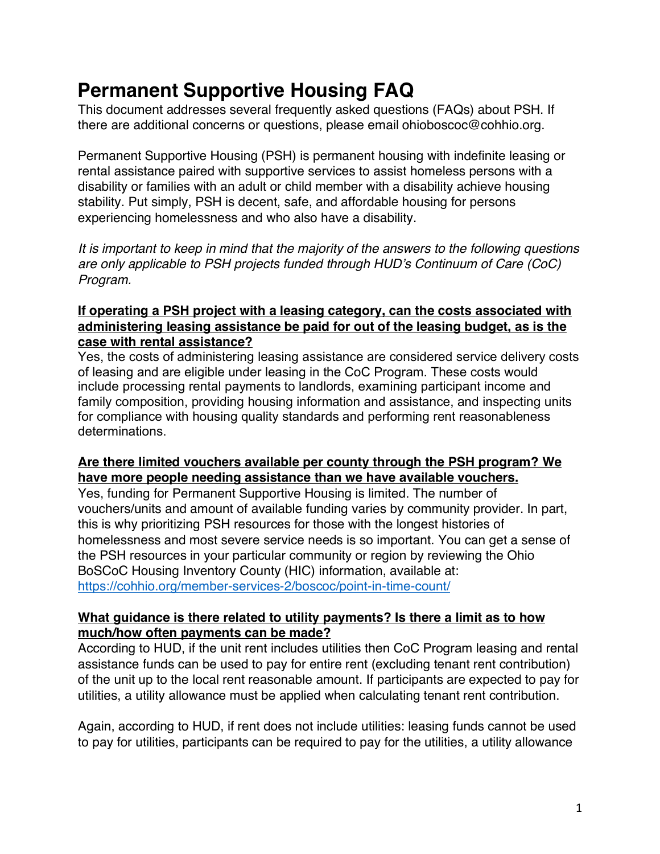# **Permanent Supportive Housing FAQ**

This document addresses several frequently asked questions (FAQs) about PSH. If there are additional concerns or questions, please email ohioboscoc@cohhio.org.

Permanent Supportive Housing (PSH) is permanent housing with indefinite leasing or rental assistance paired with supportive services to assist homeless persons with a disability or families with an adult or child member with a disability achieve housing stability. Put simply, PSH is decent, safe, and affordable housing for persons experiencing homelessness and who also have a disability.

*It is important to keep in mind that the majority of the answers to the following questions are only applicable to PSH projects funded through HUD's Continuum of Care (CoC) Program.* 

# **If operating a PSH project with a leasing category, can the costs associated with administering leasing assistance be paid for out of the leasing budget, as is the case with rental assistance?**

Yes, the costs of administering leasing assistance are considered service delivery costs of leasing and are eligible under leasing in the CoC Program. These costs would include processing rental payments to landlords, examining participant income and family composition, providing housing information and assistance, and inspecting units for compliance with housing quality standards and performing rent reasonableness determinations.

# **Are there limited vouchers available per county through the PSH program? We have more people needing assistance than we have available vouchers.**

Yes, funding for Permanent Supportive Housing is limited. The number of vouchers/units and amount of available funding varies by community provider. In part, this is why prioritizing PSH resources for those with the longest histories of homelessness and most severe service needs is so important. You can get a sense of the PSH resources in your particular community or region by reviewing the Ohio BoSCoC Housing Inventory County (HIC) information, available at: https://cohhio.org/member-services-2/boscoc/point-in-time-count/

### **What guidance is there related to utility payments? Is there a limit as to how much/how often payments can be made?**

According to HUD, if the unit rent includes utilities then CoC Program leasing and rental assistance funds can be used to pay for entire rent (excluding tenant rent contribution) of the unit up to the local rent reasonable amount. If participants are expected to pay for utilities, a utility allowance must be applied when calculating tenant rent contribution.

Again, according to HUD, if rent does not include utilities: leasing funds cannot be used to pay for utilities, participants can be required to pay for the utilities, a utility allowance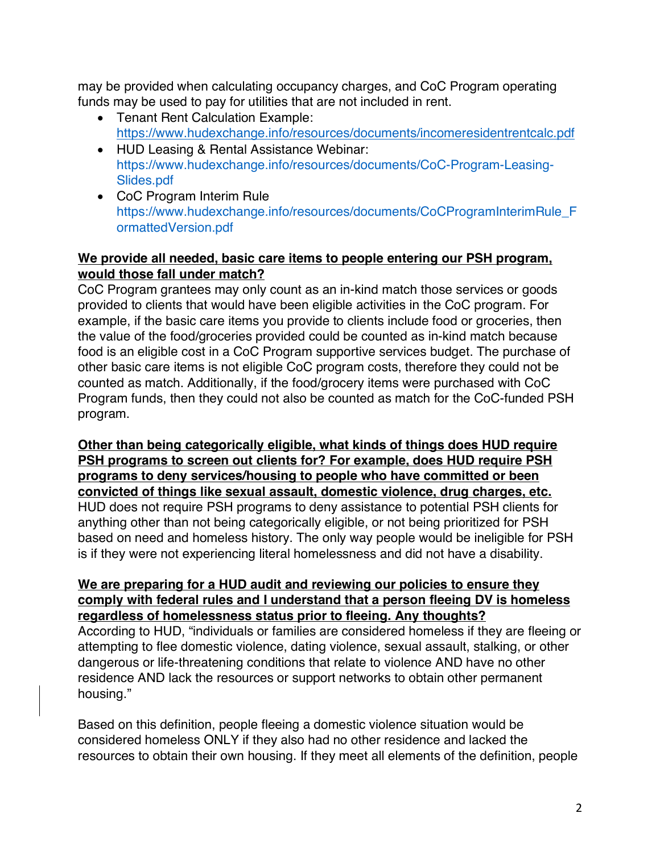may be provided when calculating occupancy charges, and CoC Program operating funds may be used to pay for utilities that are not included in rent.

- Tenant Rent Calculation Example: https://www.hudexchange.info/resources/documents/incomeresidentrentcalc.pdf
- HUD Leasing & Rental Assistance Webinar: https://www.hudexchange.info/resources/documents/CoC-Program-Leasing-Slides.pdf
- CoC Program Interim Rule https://www.hudexchange.info/resources/documents/CoCProgramInterimRule\_F ormattedVersion.pdf

# **We provide all needed, basic care items to people entering our PSH program, would those fall under match?**

CoC Program grantees may only count as an in-kind match those services or goods provided to clients that would have been eligible activities in the CoC program. For example, if the basic care items you provide to clients include food or groceries, then the value of the food/groceries provided could be counted as in-kind match because food is an eligible cost in a CoC Program supportive services budget. The purchase of other basic care items is not eligible CoC program costs, therefore they could not be counted as match. Additionally, if the food/grocery items were purchased with CoC Program funds, then they could not also be counted as match for the CoC-funded PSH program.

**Other than being categorically eligible, what kinds of things does HUD require PSH programs to screen out clients for? For example, does HUD require PSH programs to deny services/housing to people who have committed or been convicted of things like sexual assault, domestic violence, drug charges, etc.**  HUD does not require PSH programs to deny assistance to potential PSH clients for anything other than not being categorically eligible, or not being prioritized for PSH based on need and homeless history. The only way people would be ineligible for PSH is if they were not experiencing literal homelessness and did not have a disability.

#### **We are preparing for a HUD audit and reviewing our policies to ensure they comply with federal rules and I understand that a person fleeing DV is homeless regardless of homelessness status prior to fleeing. Any thoughts?**

According to HUD, "individuals or families are considered homeless if they are fleeing or attempting to flee domestic violence, dating violence, sexual assault, stalking, or other dangerous or life-threatening conditions that relate to violence AND have no other residence AND lack the resources or support networks to obtain other permanent housing."

Based on this definition, people fleeing a domestic violence situation would be considered homeless ONLY if they also had no other residence and lacked the resources to obtain their own housing. If they meet all elements of the definition, people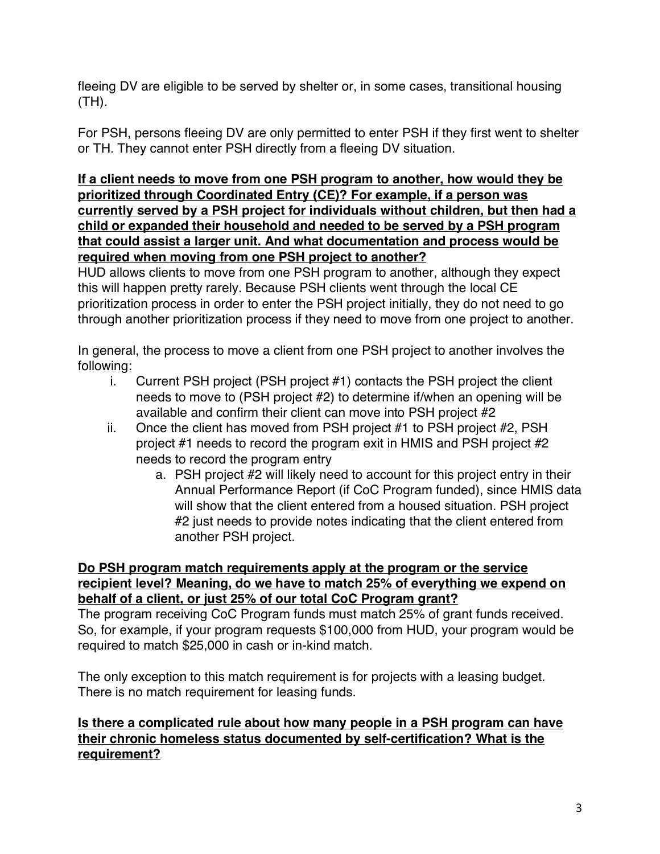fleeing DV are eligible to be served by shelter or, in some cases, transitional housing (TH).

For PSH, persons fleeing DV are only permitted to enter PSH if they first went to shelter or TH. They cannot enter PSH directly from a fleeing DV situation.

**If a client needs to move from one PSH program to another, how would they be prioritized through Coordinated Entry (CE)? For example, if a person was currently served by a PSH project for individuals without children, but then had a child or expanded their household and needed to be served by a PSH program that could assist a larger unit. And what documentation and process would be required when moving from one PSH project to another?**

HUD allows clients to move from one PSH program to another, although they expect this will happen pretty rarely. Because PSH clients went through the local CE prioritization process in order to enter the PSH project initially, they do not need to go through another prioritization process if they need to move from one project to another.

In general, the process to move a client from one PSH project to another involves the following:

- i. Current PSH project (PSH project #1) contacts the PSH project the client needs to move to (PSH project #2) to determine if/when an opening will be available and confirm their client can move into PSH project #2
- ii. Once the client has moved from PSH project #1 to PSH project #2, PSH project #1 needs to record the program exit in HMIS and PSH project #2 needs to record the program entry
	- a. PSH project #2 will likely need to account for this project entry in their Annual Performance Report (if CoC Program funded), since HMIS data will show that the client entered from a housed situation. PSH project #2 just needs to provide notes indicating that the client entered from another PSH project.

## **Do PSH program match requirements apply at the program or the service recipient level? Meaning, do we have to match 25% of everything we expend on behalf of a client, or just 25% of our total CoC Program grant?**

The program receiving CoC Program funds must match 25% of grant funds received. So, for example, if your program requests \$100,000 from HUD, your program would be required to match \$25,000 in cash or in-kind match.

The only exception to this match requirement is for projects with a leasing budget. There is no match requirement for leasing funds.

# **Is there a complicated rule about how many people in a PSH program can have their chronic homeless status documented by self-certification? What is the requirement?**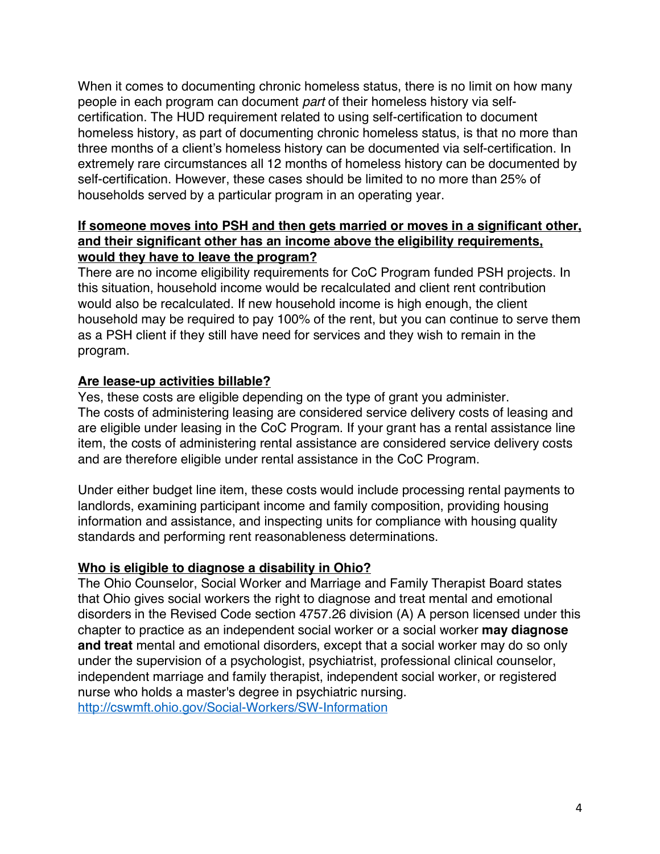When it comes to documenting chronic homeless status, there is no limit on how many people in each program can document *part* of their homeless history via selfcertification. The HUD requirement related to using self-certification to document homeless history, as part of documenting chronic homeless status, is that no more than three months of a client's homeless history can be documented via self-certification. In extremely rare circumstances all 12 months of homeless history can be documented by self-certification. However, these cases should be limited to no more than 25% of households served by a particular program in an operating year.

### **If someone moves into PSH and then gets married or moves in a significant other, and their significant other has an income above the eligibility requirements, would they have to leave the program?**

There are no income eligibility requirements for CoC Program funded PSH projects. In this situation, household income would be recalculated and client rent contribution would also be recalculated. If new household income is high enough, the client household may be required to pay 100% of the rent, but you can continue to serve them as a PSH client if they still have need for services and they wish to remain in the program.

# **Are lease-up activities billable?**

Yes, these costs are eligible depending on the type of grant you administer. The costs of administering leasing are considered service delivery costs of leasing and are eligible under leasing in the CoC Program. If your grant has a rental assistance line item, the costs of administering rental assistance are considered service delivery costs and are therefore eligible under rental assistance in the CoC Program.

Under either budget line item, these costs would include processing rental payments to landlords, examining participant income and family composition, providing housing information and assistance, and inspecting units for compliance with housing quality standards and performing rent reasonableness determinations.

# **Who is eligible to diagnose a disability in Ohio?**

The Ohio Counselor, Social Worker and Marriage and Family Therapist Board states that Ohio gives social workers the right to diagnose and treat mental and emotional disorders in the Revised Code section 4757.26 division (A) A person licensed under this chapter to practice as an independent social worker or a social worker **may diagnose and treat** mental and emotional disorders, except that a social worker may do so only under the supervision of a psychologist, psychiatrist, professional clinical counselor, independent marriage and family therapist, independent social worker, or registered nurse who holds a master's degree in psychiatric nursing. http://cswmft.ohio.gov/Social-Workers/SW-Information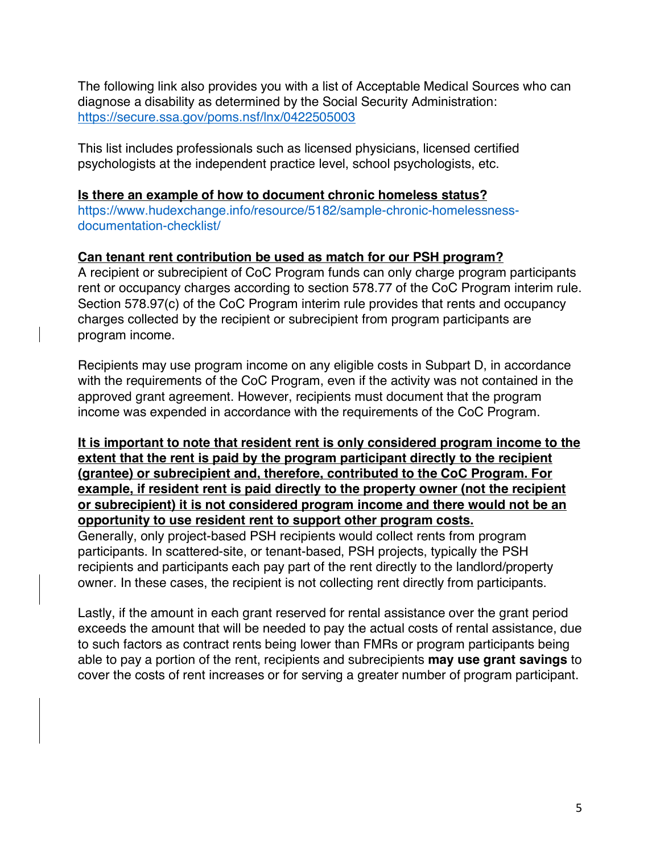The following link also provides you with a list of Acceptable Medical Sources who can diagnose a disability as determined by the Social Security Administration: https://secure.ssa.gov/poms.nsf/lnx/0422505003

This list includes professionals such as licensed physicians, licensed certified psychologists at the independent practice level, school psychologists, etc.

#### **Is there an example of how to document chronic homeless status?**

https://www.hudexchange.info/resource/5182/sample-chronic-homelessnessdocumentation-checklist/

# **Can tenant rent contribution be used as match for our PSH program?**

A recipient or subrecipient of CoC Program funds can only charge program participants rent or occupancy charges according to section 578.77 of the CoC Program interim rule. Section 578.97(c) of the CoC Program interim rule provides that rents and occupancy charges collected by the recipient or subrecipient from program participants are program income.

Recipients may use program income on any eligible costs in Subpart D, in accordance with the requirements of the CoC Program, even if the activity was not contained in the approved grant agreement. However, recipients must document that the program income was expended in accordance with the requirements of the CoC Program.

**It is important to note that resident rent is only considered program income to the extent that the rent is paid by the program participant directly to the recipient (grantee) or subrecipient and, therefore, contributed to the CoC Program. For example, if resident rent is paid directly to the property owner (not the recipient or subrecipient) it is not considered program income and there would not be an opportunity to use resident rent to support other program costs.**

Generally, only project-based PSH recipients would collect rents from program participants. In scattered-site, or tenant-based, PSH projects, typically the PSH recipients and participants each pay part of the rent directly to the landlord/property owner. In these cases, the recipient is not collecting rent directly from participants.

Lastly, if the amount in each grant reserved for rental assistance over the grant period exceeds the amount that will be needed to pay the actual costs of rental assistance, due to such factors as contract rents being lower than FMRs or program participants being able to pay a portion of the rent, recipients and subrecipients **may use grant savings** to cover the costs of rent increases or for serving a greater number of program participant.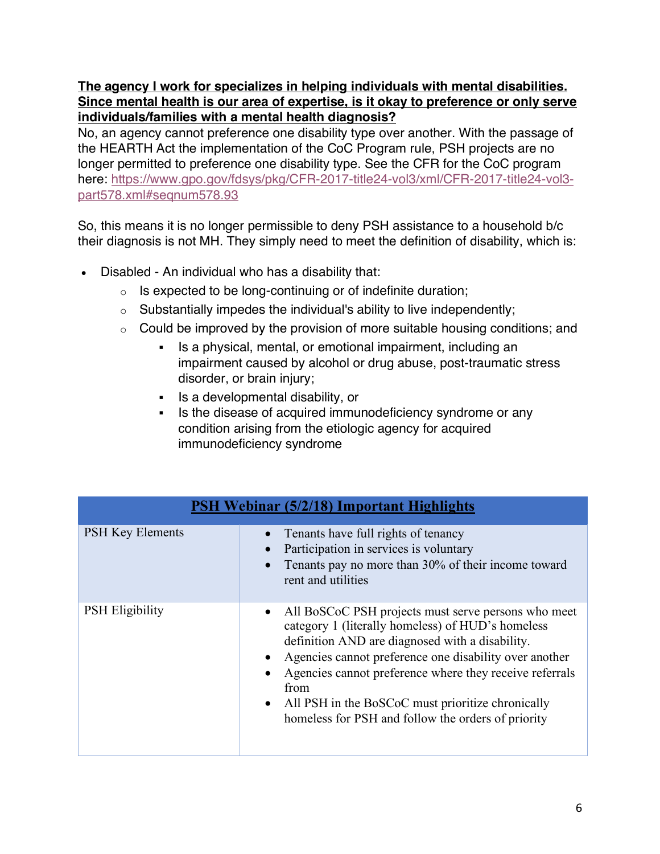## **The agency I work for specializes in helping individuals with mental disabilities. Since mental health is our area of expertise, is it okay to preference or only serve individuals/families with a mental health diagnosis?**

No, an agency cannot preference one disability type over another. With the passage of the HEARTH Act the implementation of the CoC Program rule, PSH projects are no longer permitted to preference one disability type. See the CFR for the CoC program here: https://www.gpo.gov/fdsys/pkg/CFR-2017-title24-vol3/xml/CFR-2017-title24-vol3 part578.xml#seqnum578.93

So, this means it is no longer permissible to deny PSH assistance to a household b/c their diagnosis is not MH. They simply need to meet the definition of disability, which is:

- Disabled An individual who has a disability that:
	- $\circ$  Is expected to be long-continuing or of indefinite duration;
	- $\circ$  Substantially impedes the individual's ability to live independently;
	- o Could be improved by the provision of more suitable housing conditions; and
		- Is a physical, mental, or emotional impairment, including an impairment caused by alcohol or drug abuse, post-traumatic stress disorder, or brain injury;
		- § Is a developmental disability, or
		- Is the disease of acquired immunodeficiency syndrome or any condition arising from the etiologic agency for acquired immunodeficiency syndrome

| <b>PSH Webinar (5/2/18) Important Highlights</b> |                                                                                                                                                                                                                                                                                                                                                                                                                  |
|--------------------------------------------------|------------------------------------------------------------------------------------------------------------------------------------------------------------------------------------------------------------------------------------------------------------------------------------------------------------------------------------------------------------------------------------------------------------------|
| <b>PSH Key Elements</b>                          | Tenants have full rights of tenancy<br>Participation in services is voluntary<br>Tenants pay no more than 30% of their income toward<br>rent and utilities                                                                                                                                                                                                                                                       |
| <b>PSH</b> Eligibility                           | All BoSCoC PSH projects must serve persons who meet<br>category 1 (literally homeless) of HUD's homeless<br>definition AND are diagnosed with a disability.<br>Agencies cannot preference one disability over another<br>Agencies cannot preference where they receive referrals<br>from<br>All PSH in the BoSCoC must prioritize chronically<br>$\bullet$<br>homeless for PSH and follow the orders of priority |